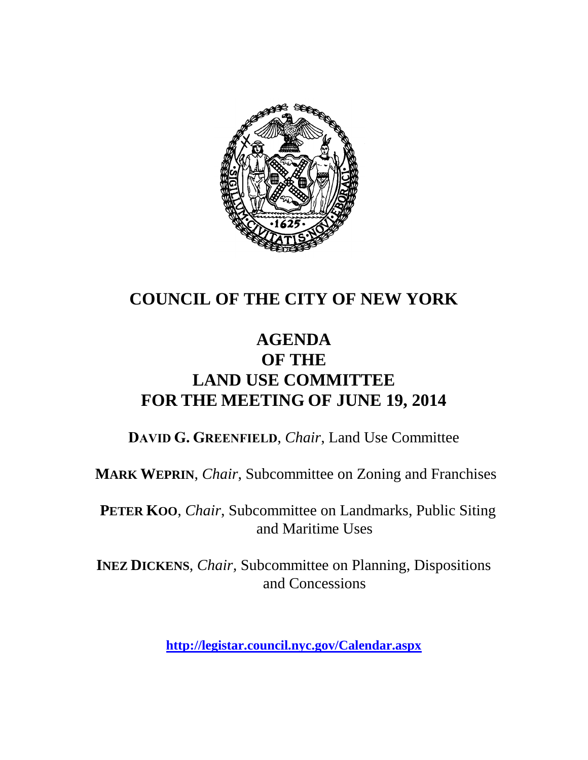

## **COUNCIL OF THE CITY OF NEW YORK**

## **AGENDA OF THE LAND USE COMMITTEE FOR THE MEETING OF JUNE 19, 2014**

**DAVID G. GREENFIELD**, *Chair*, Land Use Committee

**MARK WEPRIN**, *Chair*, Subcommittee on Zoning and Franchises

**PETER KOO**, *Chair*, Subcommittee on Landmarks, Public Siting and Maritime Uses

**INEZ DICKENS**, *Chair,* Subcommittee on Planning, Dispositions and Concessions

**<http://legistar.council.nyc.gov/Calendar.aspx>**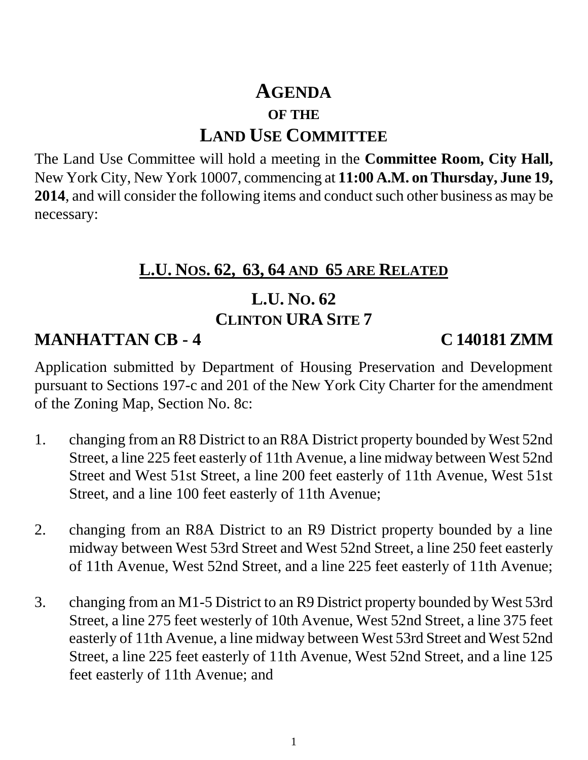# **AGENDA OF THE LAND USE COMMITTEE**

The Land Use Committee will hold a meeting in the **Committee Room, City Hall,**  New York City, New York 10007, commencing at **11:00 A.M. on Thursday, June 19, 2014**, and will consider the following items and conduct such other business as may be necessary:

### **L.U. NOS. 62, 63, 64 AND 65 ARE RELATED**

# **L.U. NO. 62**

### **CLINTON URA SITE 7**

## **MANHATTAN CB - 4 C 140181 ZMM**

Application submitted by Department of Housing Preservation and Development pursuant to Sections 197-c and 201 of the New York City Charter for the amendment of the Zoning Map, Section No. 8c:

- 1. changing from an R8 District to an R8A District property bounded by West 52nd Street, a line 225 feet easterly of 11th Avenue, a line midway between West 52nd Street and West 51st Street, a line 200 feet easterly of 11th Avenue, West 51st Street, and a line 100 feet easterly of 11th Avenue;
- 2. changing from an R8A District to an R9 District property bounded by a line midway between West 53rd Street and West 52nd Street, a line 250 feet easterly of 11th Avenue, West 52nd Street, and a line 225 feet easterly of 11th Avenue;
- 3. changing from an M1-5 District to an R9 District property bounded by West 53rd Street, a line 275 feet westerly of 10th Avenue, West 52nd Street, a line 375 feet easterly of 11th Avenue, a line midway between West 53rd Street and West 52nd Street, a line 225 feet easterly of 11th Avenue, West 52nd Street, and a line 125 feet easterly of 11th Avenue; and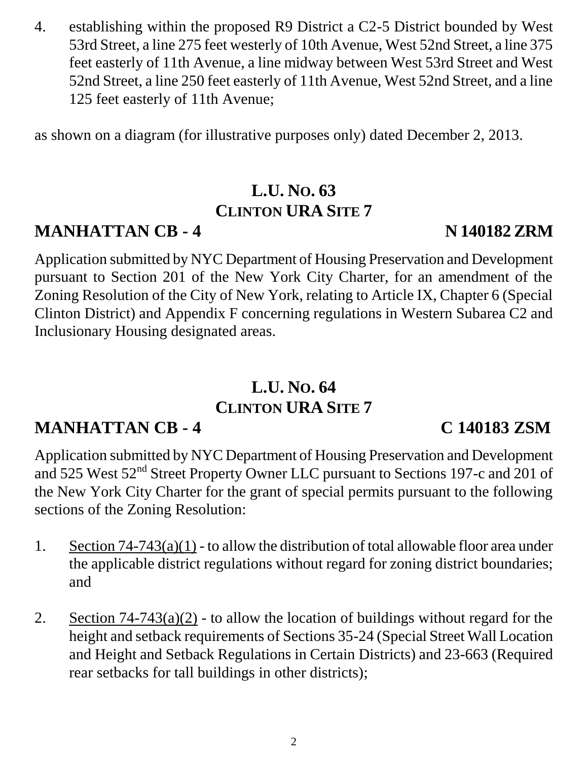4. establishing within the proposed R9 District a C2-5 District bounded by West 53rd Street, a line 275 feet westerly of 10th Avenue, West 52nd Street, a line 375 feet easterly of 11th Avenue, a line midway between West 53rd Street and West 52nd Street, a line 250 feet easterly of 11th Avenue, West 52nd Street, and a line 125 feet easterly of 11th Avenue;

as shown on a diagram (for illustrative purposes only) dated December 2, 2013.

# **L.U. NO. 63 CLINTON URA SITE 7**

## **MANHATTAN CB - 4 N 140182 ZRM**

Application submitted by NYC Department of Housing Preservation and Development pursuant to Section 201 of the New York City Charter, for an amendment of the Zoning Resolution of the City of New York, relating to Article IX, Chapter 6 (Special Clinton District) and Appendix F concerning regulations in Western Subarea C2 and Inclusionary Housing designated areas.

# **L.U. NO. 64 CLINTON URA SITE 7**

## **MANHATTAN CB - 4 C 140183 ZSM**

Application submitted by NYC Department of Housing Preservation and Development and 525 West 52<sup>nd</sup> Street Property Owner LLC pursuant to Sections 197-c and 201 of the New York City Charter for the grant of special permits pursuant to the following sections of the Zoning Resolution:

- 1. Section 74-743(a)(1) to allow the distribution of total allowable floor area under the applicable district regulations without regard for zoning district boundaries; and
- 2. Section  $74-743(a)(2)$  to allow the location of buildings without regard for the height and setback requirements of Sections 35-24 (Special Street Wall Location and Height and Setback Regulations in Certain Districts) and 23-663 (Required rear setbacks for tall buildings in other districts);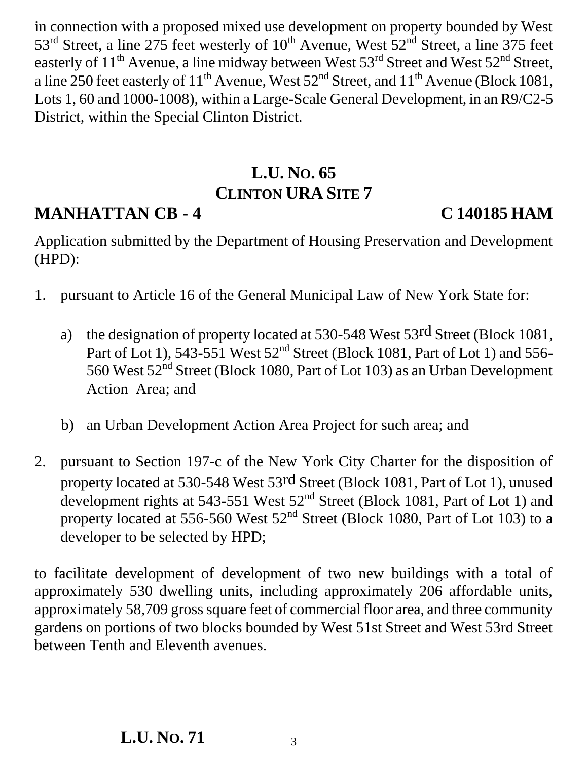in connection with a proposed mixed use development on property bounded by West  $53<sup>rd</sup>$  Street, a line 275 feet westerly of  $10<sup>th</sup>$  Avenue, West  $52<sup>nd</sup>$  Street, a line 375 feet easterly of 11<sup>th</sup> Avenue, a line midway between West 53<sup>rd</sup> Street and West 52<sup>nd</sup> Street, a line 250 feet easterly of  $11^{th}$  Avenue, West  $52^{nd}$  Street, and  $11^{th}$  Avenue (Block 1081, Lots 1, 60 and 1000-1008), within a Large-Scale General Development, in an R9/C2-5 District, within the Special Clinton District.

# **L.U. NO. 65 CLINTON URA SITE 7**

## **MANHATTAN CB - 4 C 140185 HAM**

Application submitted by the Department of Housing Preservation and Development (HPD):

- 1. pursuant to Article 16 of the General Municipal Law of New York State for:
	- a) the designation of property located at 530-548 West 53rd Street (Block 1081, Part of Lot 1),  $543-551$  West  $52<sup>nd</sup>$  Street (Block 1081, Part of Lot 1) and  $556-$ 560 West  $52<sup>nd</sup>$  Street (Block 1080, Part of Lot 103) as an Urban Development Action Area; and
	- b) an Urban Development Action Area Project for such area; and
- 2. pursuant to Section 197-c of the New York City Charter for the disposition of property located at 530-548 West 53rd Street (Block 1081, Part of Lot 1), unused development rights at 543-551 West 52<sup>nd</sup> Street (Block 1081, Part of Lot 1) and property located at 556-560 West  $52<sup>nd</sup>$  Street (Block 1080, Part of Lot 103) to a developer to be selected by HPD;

to facilitate development of development of two new buildings with a total of approximately 530 dwelling units, including approximately 206 affordable units, approximately 58,709 gross square feet of commercial floor area, and three community gardens on portions of two blocks bounded by West 51st Street and West 53rd Street between Tenth and Eleventh avenues.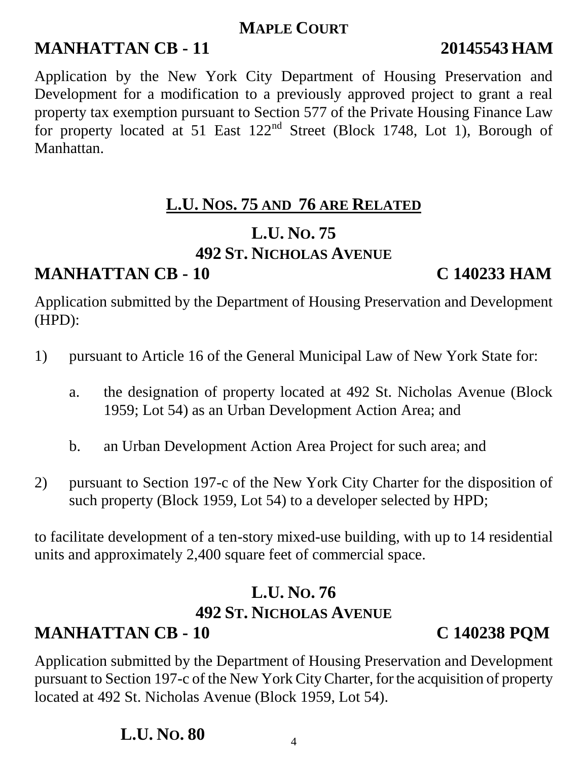### **MAPLE COURT**

## **MANHATTAN CB - 11 20145543 HAM**

Application by the New York City Department of Housing Preservation and Development for a modification to a previously approved project to grant a real property tax exemption pursuant to Section 577 of the Private Housing Finance Law for property located at 51 East 122<sup>nd</sup> Street (Block 1748, Lot 1), Borough of Manhattan.

## **L.U. NOS. 75 AND 76 ARE RELATED**

### **L.U. NO. 75 492 ST. NICHOLAS AVENUE**

## **MANHATTAN CB - 10 C 140233 HAM**

Application submitted by the Department of Housing Preservation and Development (HPD):

- 1) pursuant to Article 16 of the General Municipal Law of New York State for:
	- a. the designation of property located at 492 St. Nicholas Avenue (Block 1959; Lot 54) as an Urban Development Action Area; and
	- b. an Urban Development Action Area Project for such area; and
- 2) pursuant to Section 197-c of the New York City Charter for the disposition of such property (Block 1959, Lot 54) to a developer selected by HPD;

to facilitate development of a ten-story mixed-use building, with up to 14 residential units and approximately 2,400 square feet of commercial space.

# **L.U. NO. 76 492 ST. NICHOLAS AVENUE**

# **MANHATTAN CB - 10 C 140238 PQM**

Application submitted by the Department of Housing Preservation and Development pursuant to Section 197-c of the New York City Charter, for the acquisition of property located at 492 St. Nicholas Avenue (Block 1959, Lot 54).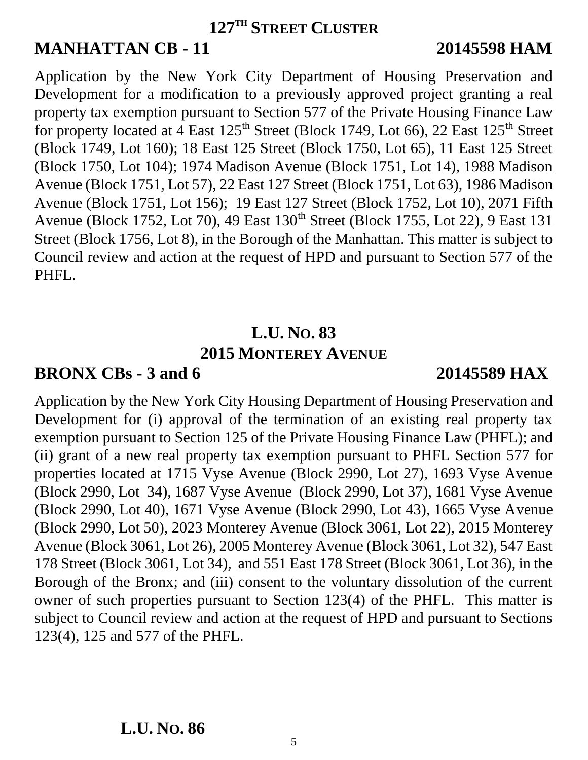### **127TH STREET CLUSTER**

## **MANHATTAN CB - 11 20145598 HAM**

Application by the New York City Department of Housing Preservation and Development for a modification to a previously approved project granting a real property tax exemption pursuant to Section 577 of the Private Housing Finance Law for property located at  $\overline{4}$  East  $125^{\text{th}}$  Street (Block 1749, Lot 66), 22 East  $125^{\text{th}}$  Street (Block 1749, Lot 160); 18 East 125 Street (Block 1750, Lot 65), 11 East 125 Street (Block 1750, Lot 104); 1974 Madison Avenue (Block 1751, Lot 14), 1988 Madison Avenue (Block 1751, Lot 57), 22 East 127 Street (Block 1751, Lot 63), 1986 Madison Avenue (Block 1751, Lot 156); 19 East 127 Street (Block 1752, Lot 10), 2071 Fifth Avenue (Block 1752, Lot 70), 49 East 130<sup>th</sup> Street (Block 1755, Lot 22), 9 East 131 Street (Block 1756, Lot 8), in the Borough of the Manhattan. This matter is subject to Council review and action at the request of HPD and pursuant to Section 577 of the PHFL.

### **L.U. NO. 83 2015 MONTEREY AVENUE**

## **BRONX CBs - 3 and 6 20145589 HAX**

Application by the New York City Housing Department of Housing Preservation and Development for (i) approval of the termination of an existing real property tax exemption pursuant to Section 125 of the Private Housing Finance Law (PHFL); and (ii) grant of a new real property tax exemption pursuant to PHFL Section 577 for properties located at 1715 Vyse Avenue (Block 2990, Lot 27), 1693 Vyse Avenue (Block 2990, Lot 34), 1687 Vyse Avenue (Block 2990, Lot 37), 1681 Vyse Avenue (Block 2990, Lot 40), 1671 Vyse Avenue (Block 2990, Lot 43), 1665 Vyse Avenue (Block 2990, Lot 50), 2023 Monterey Avenue (Block 3061, Lot 22), 2015 Monterey Avenue (Block 3061, Lot 26), 2005 Monterey Avenue (Block 3061, Lot 32), 547 East 178 Street (Block 3061, Lot 34), and 551 East 178 Street (Block 3061, Lot 36), in the Borough of the Bronx; and (iii) consent to the voluntary dissolution of the current owner of such properties pursuant to Section 123(4) of the PHFL. This matter is subject to Council review and action at the request of HPD and pursuant to Sections 123(4), 125 and 577 of the PHFL.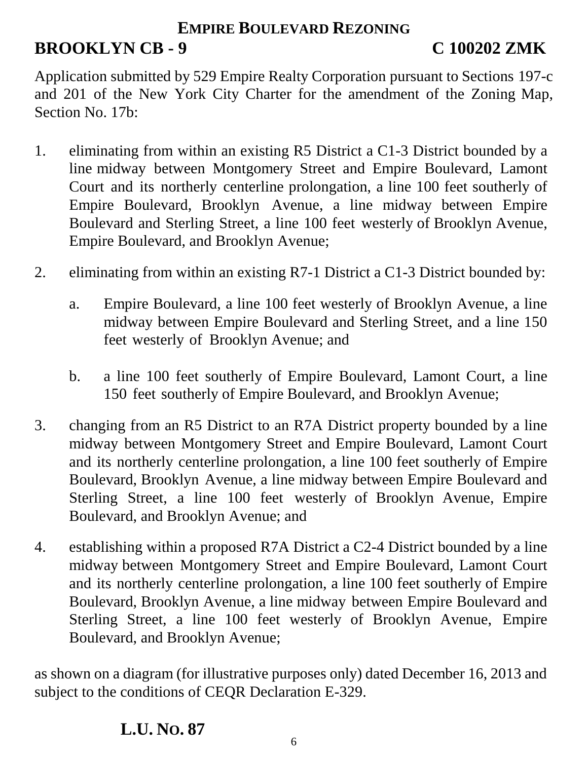### **EMPIRE BOULEVARD REZONING**

# **BROOKLYN CB - 9 C 100202 ZMK**

Application submitted by 529 Empire Realty Corporation pursuant to Sections 197-c and 201 of the New York City Charter for the amendment of the Zoning Map, Section No. 17b:

- 1. eliminating from within an existing R5 District a C1-3 District bounded by a line midway between Montgomery Street and Empire Boulevard, Lamont Court and its northerly centerline prolongation, a line 100 feet southerly of Empire Boulevard, Brooklyn Avenue, a line midway between Empire Boulevard and Sterling Street, a line 100 feet westerly of Brooklyn Avenue, Empire Boulevard, and Brooklyn Avenue;
- 2. eliminating from within an existing R7-1 District a C1-3 District bounded by:
	- a. Empire Boulevard, a line 100 feet westerly of Brooklyn Avenue, a line midway between Empire Boulevard and Sterling Street, and a line 150 feet westerly of Brooklyn Avenue; and
	- b. a line 100 feet southerly of Empire Boulevard, Lamont Court, a line 150 feet southerly of Empire Boulevard, and Brooklyn Avenue;
- 3. changing from an R5 District to an R7A District property bounded by a line midway between Montgomery Street and Empire Boulevard, Lamont Court and its northerly centerline prolongation, a line 100 feet southerly of Empire Boulevard, Brooklyn Avenue, a line midway between Empire Boulevard and Sterling Street, a line 100 feet westerly of Brooklyn Avenue, Empire Boulevard, and Brooklyn Avenue; and
- 4. establishing within a proposed R7A District a C2-4 District bounded by a line midway between Montgomery Street and Empire Boulevard, Lamont Court and its northerly centerline prolongation, a line 100 feet southerly of Empire Boulevard, Brooklyn Avenue, a line midway between Empire Boulevard and Sterling Street, a line 100 feet westerly of Brooklyn Avenue, Empire Boulevard, and Brooklyn Avenue;

as shown on a diagram (for illustrative purposes only) dated December 16, 2013 and subject to the conditions of CEQR Declaration E-329.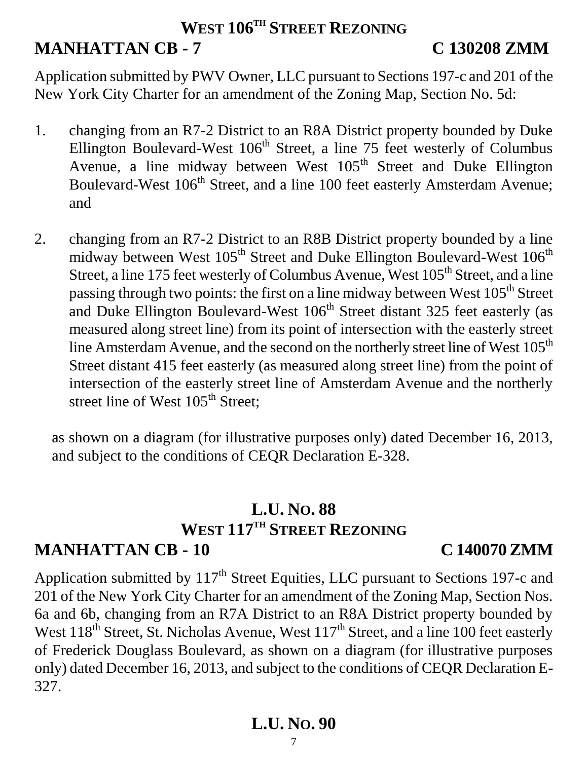## **WEST 106TH STREET REZONING MANHATTAN CB - 7 C 130208 ZMM**

Application submitted by PWV Owner, LLC pursuant to Sections 197-c and 201 of the New York City Charter for an amendment of the Zoning Map, Section No. 5d:

- 1. changing from an R7-2 District to an R8A District property bounded by Duke Ellington Boulevard-West  $106<sup>th</sup>$  Street, a line 75 feet westerly of Columbus Avenue, a line midway between West 105<sup>th</sup> Street and Duke Ellington Boulevard-West 106<sup>th</sup> Street, and a line 100 feet easterly Amsterdam Avenue; and
- 2. changing from an R7-2 District to an R8B District property bounded by a line midway between West 105<sup>th</sup> Street and Duke Ellington Boulevard-West 106<sup>th</sup> Street, a line 175 feet westerly of Columbus Avenue, West 105<sup>th</sup> Street, and a line passing through two points: the first on a line midway between West 105<sup>th</sup> Street and Duke Ellington Boulevard-West  $106<sup>th</sup>$  Street distant 325 feet easterly (as measured along street line) from its point of intersection with the easterly street line Amsterdam Avenue, and the second on the northerly street line of West 105<sup>th</sup> Street distant 415 feet easterly (as measured along street line) from the point of intersection of the easterly street line of Amsterdam Avenue and the northerly street line of West 105<sup>th</sup> Street:

as shown on a diagram (for illustrative purposes only) dated December 16, 2013, and subject to the conditions of CEQR Declaration E-328.

## **L.U. NO. 88 WEST 117TH STREET REZONING MANHATTAN CB - 10 C 140070 ZMM**

Application submitted by 117<sup>th</sup> Street Equities, LLC pursuant to Sections 197-c and 201 of the New York City Charter for an amendment of the Zoning Map, Section Nos. 6a and 6b, changing from an R7A District to an R8A District property bounded by West 118<sup>th</sup> Street, St. Nicholas Avenue, West 117<sup>th</sup> Street, and a line 100 feet easterly of Frederick Douglass Boulevard, as shown on a diagram (for illustrative purposes only) dated December 16, 2013, and subject to the conditions of CEQR Declaration E-327.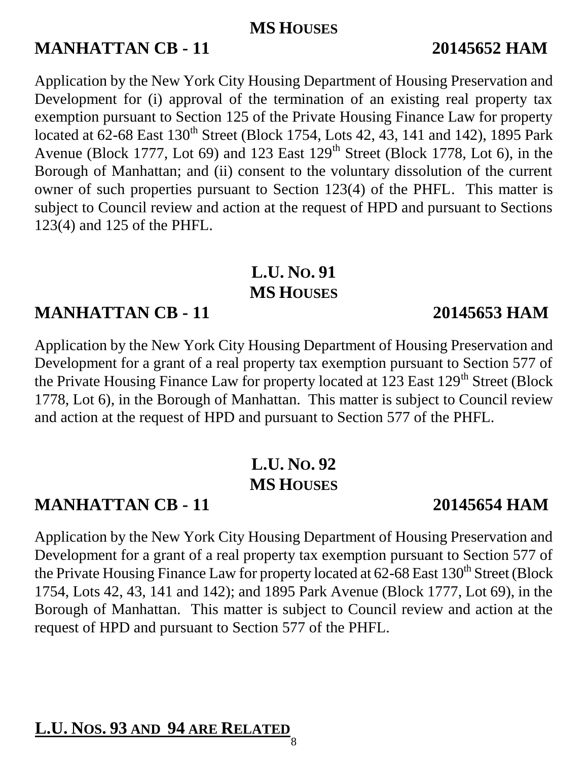### **MS HOUSES**

## **MANHATTAN CB - 11 20145652 HAM**

Application by the New York City Housing Department of Housing Preservation and Development for (i) approval of the termination of an existing real property tax exemption pursuant to Section 125 of the Private Housing Finance Law for property located at 62-68 East 130<sup>th</sup> Street (Block 1754, Lots 42, 43, 141 and 142), 1895 Park Avenue (Block 1777, Lot 69) and 123 East  $129<sup>th</sup>$  Street (Block 1778, Lot 6), in the Borough of Manhattan; and (ii) consent to the voluntary dissolution of the current owner of such properties pursuant to Section 123(4) of the PHFL. This matter is subject to Council review and action at the request of HPD and pursuant to Sections 123(4) and 125 of the PHFL.

# **L.U. NO. 91 MS HOUSES**

## **MANHATTAN CB - 11 20145653 HAM**

Application by the New York City Housing Department of Housing Preservation and Development for a grant of a real property tax exemption pursuant to Section 577 of the Private Housing Finance Law for property located at 123 East 129<sup>th</sup> Street (Block 1778, Lot 6), in the Borough of Manhattan. This matter is subject to Council review and action at the request of HPD and pursuant to Section 577 of the PHFL.

# **L.U. NO. 92 MS HOUSES**

## **MANHATTAN CB - 11 20145654 HAM**

Application by the New York City Housing Department of Housing Preservation and Development for a grant of a real property tax exemption pursuant to Section 577 of the Private Housing Finance Law for property located at  $62-68$  East  $130<sup>th</sup>$  Street (Block 1754, Lots 42, 43, 141 and 142); and 1895 Park Avenue (Block 1777, Lot 69), in the Borough of Manhattan. This matter is subject to Council review and action at the request of HPD and pursuant to Section 577 of the PHFL.

## **L.U. NOS. 93 AND 94 ARE RELATED**

8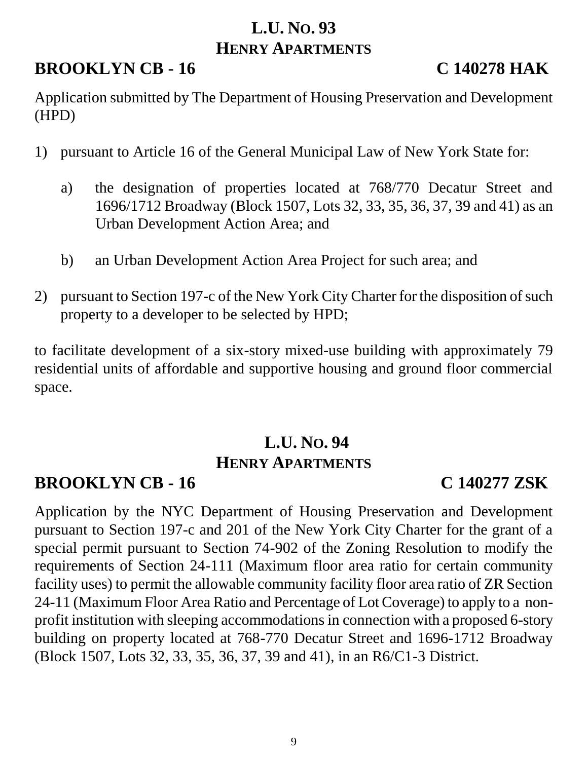## **L.U. NO. 93 HENRY APARTMENTS**

## **BROOKLYN CB - 16 C 140278 HAK**

Application submitted by The Department of Housing Preservation and Development (HPD)

- 1) pursuant to Article 16 of the General Municipal Law of New York State for:
	- a) the designation of properties located at 768/770 Decatur Street and 1696/1712 Broadway (Block 1507, Lots 32, 33, 35, 36, 37, 39 and 41) as an Urban Development Action Area; and
	- b) an Urban Development Action Area Project for such area; and
- 2) pursuant to Section 197-c of the New York City Charter for the disposition of such property to a developer to be selected by HPD;

to facilitate development of a six-story mixed-use building with approximately 79 residential units of affordable and supportive housing and ground floor commercial space.

# **L.U. NO. 94 HENRY APARTMENTS**

## **BROOKLYN CB - 16 C 140277 ZSK**

Application by the NYC Department of Housing Preservation and Development pursuant to Section 197-c and 201 of the New York City Charter for the grant of a special permit pursuant to Section 74-902 of the Zoning Resolution to modify the requirements of Section 24-111 (Maximum floor area ratio for certain community facility uses) to permit the allowable community facility floor area ratio of ZR Section 24-11 (Maximum Floor Area Ratio and Percentage of Lot Coverage) to apply to a nonprofit institution with sleeping accommodations in connection with a proposed 6-story building on property located at 768-770 Decatur Street and 1696-1712 Broadway (Block 1507, Lots 32, 33, 35, 36, 37, 39 and 41), in an R6/C1-3 District.